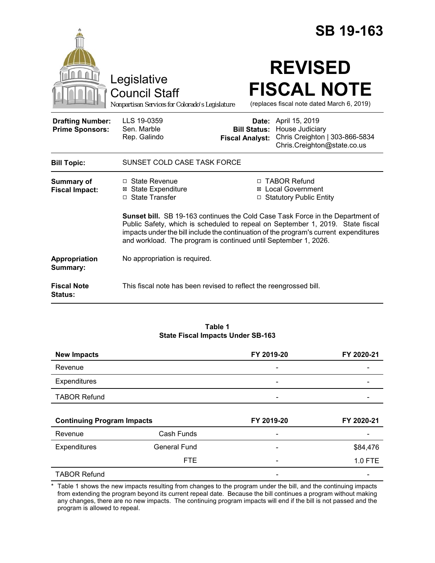|                                                   |                                                                                                                                                                                                                                                                                                                                     |                                               |                                                                          | <b>SB 19-163</b>                                                 |
|---------------------------------------------------|-------------------------------------------------------------------------------------------------------------------------------------------------------------------------------------------------------------------------------------------------------------------------------------------------------------------------------------|-----------------------------------------------|--------------------------------------------------------------------------|------------------------------------------------------------------|
|                                                   | Legislative<br><b>Council Staff</b><br>Nonpartisan Services for Colorado's Legislature                                                                                                                                                                                                                                              |                                               | <b>REVISED</b>                                                           | <b>FISCAL NOTE</b><br>(replaces fiscal note dated March 6, 2019) |
| <b>Drafting Number:</b><br><b>Prime Sponsors:</b> | LLS 19-0359<br>Sen. Marble<br>Rep. Galindo                                                                                                                                                                                                                                                                                          | <b>Bill Status:</b><br><b>Fiscal Analyst:</b> | Date: April 15, 2019<br>House Judiciary                                  | Chris Creighton   303-866-5834<br>Chris.Creighton@state.co.us    |
| <b>Bill Topic:</b>                                | SUNSET COLD CASE TASK FORCE                                                                                                                                                                                                                                                                                                         |                                               |                                                                          |                                                                  |
| <b>Summary of</b><br><b>Fiscal Impact:</b>        | □ State Revenue<br><b>⊠</b> State Expenditure<br>□ State Transfer                                                                                                                                                                                                                                                                   |                                               | □ TABOR Refund<br><b>⊠</b> Local Government<br>□ Statutory Public Entity |                                                                  |
|                                                   | <b>Sunset bill.</b> SB 19-163 continues the Cold Case Task Force in the Department of<br>Public Safety, which is scheduled to repeal on September 1, 2019. State fiscal<br>impacts under the bill include the continuation of the program's current expenditures<br>and workload. The program is continued until September 1, 2026. |                                               |                                                                          |                                                                  |
| Appropriation<br>Summary:                         | No appropriation is required.                                                                                                                                                                                                                                                                                                       |                                               |                                                                          |                                                                  |
| <b>Fiscal Note</b><br><b>Status:</b>              | This fiscal note has been revised to reflect the reengrossed bill.                                                                                                                                                                                                                                                                  |                                               |                                                                          |                                                                  |

| Table 1                           |
|-----------------------------------|
| State Fiscal Impacts Under SB-163 |

| <b>New Impacts</b>                |                     | FY 2019-20               | FY 2020-21 |
|-----------------------------------|---------------------|--------------------------|------------|
| Revenue                           |                     | $\overline{\phantom{0}}$ |            |
| <b>Expenditures</b>               |                     |                          |            |
| <b>TABOR Refund</b>               |                     |                          |            |
|                                   |                     |                          |            |
|                                   |                     |                          |            |
| <b>Continuing Program Impacts</b> |                     | FY 2019-20               | FY 2020-21 |
| Revenue                           | Cash Funds          |                          |            |
| Expenditures                      | <b>General Fund</b> |                          | \$84,476   |
|                                   | <b>FTE</b>          |                          | 1.0 FTE    |

\* Table 1 shows the new impacts resulting from changes to the program under the bill, and the continuing impacts from extending the program beyond its current repeal date. Because the bill continues a program without making any changes, there are no new impacts. The continuing program impacts will end if the bill is not passed and the program is allowed to repeal.